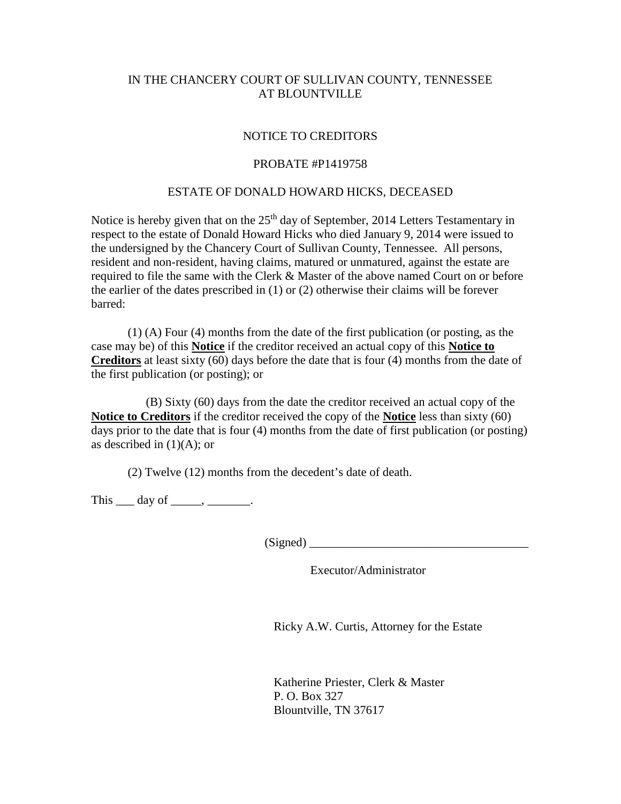## IN THE CHANCERY COURT OF SULLIVAN COUNTY, TENNESSEE AT BLOUNTVILLE

## NOTICE TO CREDITORS

## PROBATE #P1419758

## ESTATE OF DONALD HOWARD HICKS, DECEASED

Notice is hereby given that on the  $25<sup>th</sup>$  day of September, 2014 Letters Testamentary in respect to the estate of Donald Howard Hicks who died January 9, 2014 were issued to the undersigned by the Chancery Court of Sullivan County, Tennessee. All persons, resident and non-resident, having claims, matured or unmatured, against the estate are required to file the same with the Clerk & Master of the above named Court on or before the earlier of the dates prescribed in (1) or (2) otherwise their claims will be forever barred:

(1) (A) Four (4) months from the date of the first publication (or posting, as the case may be) of this **Notice** if the creditor received an actual copy of this **Notice to Creditors** at least sixty (60) days before the date that is four (4) months from the date of the first publication (or posting); or

 (B) Sixty (60) days from the date the creditor received an actual copy of the **Notice to Creditors** if the creditor received the copy of the **Notice** less than sixty (60) days prior to the date that is four (4) months from the date of first publication (or posting) as described in  $(1)(A)$ ; or

(2) Twelve (12) months from the decedent's date of death.

This  $\_\_$  day of  $\_\_$ ,  $\_\_$ .

(Signed) \_\_\_\_\_\_\_\_\_\_\_\_\_\_\_\_\_\_\_\_\_\_\_\_\_\_\_\_\_\_\_\_\_\_\_\_

Executor/Administrator

Ricky A.W. Curtis, Attorney for the Estate

Katherine Priester, Clerk & Master P. O. Box 327 Blountville, TN 37617